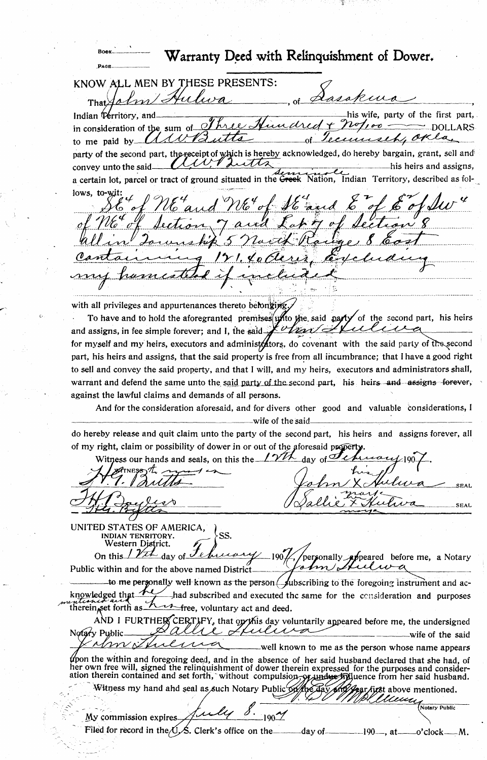Warranty Deed with Relinquishment of Dower. PAGE KNOW ALL MEN BY THESE PRESENTS: okura  $\cal{U}$ That his wife, party of the first part, Indian Territory. in consideration of the sum of DOLLARS utts or Tecun seh, to me paid by. party of the second part, the receipt of which is hereby acknowledged, do hereby bargain, grant, sell and イハ Lutts convey unto the said his heirs and assigns, a certain lot, parcel or tract of ground situated in the G Nation, Indian Territory, described as folto-wit  $lows$ with all privileges and appurtenances thereto belonging. To have and to hold the aforegranted premises unto the said party of the second part, his heirs and assigns, in fee simple forever; and I, the said  $\frac{1}{2}$  of the for myself and my heirs, executors and administology, do covenant with the said party of the second part, his heirs and assigns, that the said property is free from all incumbrance; that I have a good right to sell and convey the said property, and that I will, and my heirs, executors and administrators shall, warrant and defend the same unto the said party of the second part, his heirs and assigns forever, against the lawful claims and demands of all persons. And for the consideration aforesaid, and for divers other good and valuable considerations, I wife of the said do hereby release and quit claim unto the party of the second part, his heirs and assigns forever, all of my right, claim or possibility of dower in or out of the aforesaid pro  $1\gamma$ th  $of<sub>-</sub>\mathcal{O}$ Witness our hands and seals, on this thedav  $\mathscr{A}_{\text{TNFSS}}$ **SEAL SEAL** 

UNITED STATES OF AMERICA,  $SS<sub>1</sub>$ INDIAN TENRITORY. Western District. On this  $\frac{\gamma}{\gamma}$  day of 4  $-190\cancel{1}$ personally **appeared** before me, a Notary  $\sim$ Public within and for the above named District

to me personally well known as the person  $\Box$  ubscribing to the foregoing instrument and acknowledged that had subscribed and executed the same for the consideration and purposes therein, set forth as free, voluntary act and deed. ~1

AND I FURTHER CERTLEY, that on this day voluntarily appeared before me, the undersigned Notary Public -wife of the said

well known to me as the person whose name appears the within and foregoing deed, and in the absence of her said husband declared that she had, of<br>her own free will, signed the relinquishment of dower therein expressed for the purposes and consideration therein contained and set forth, without compulsion, y undue filluence from her said husband.

Witness my hand ahd seal as such Notary Public above mentioned.

 $190\frac{2}{2}$ My commission expires Filed for record in the U.S. Clerk's office on the day of  $-190-$ , at

Notary Public

-o'clock-----M.